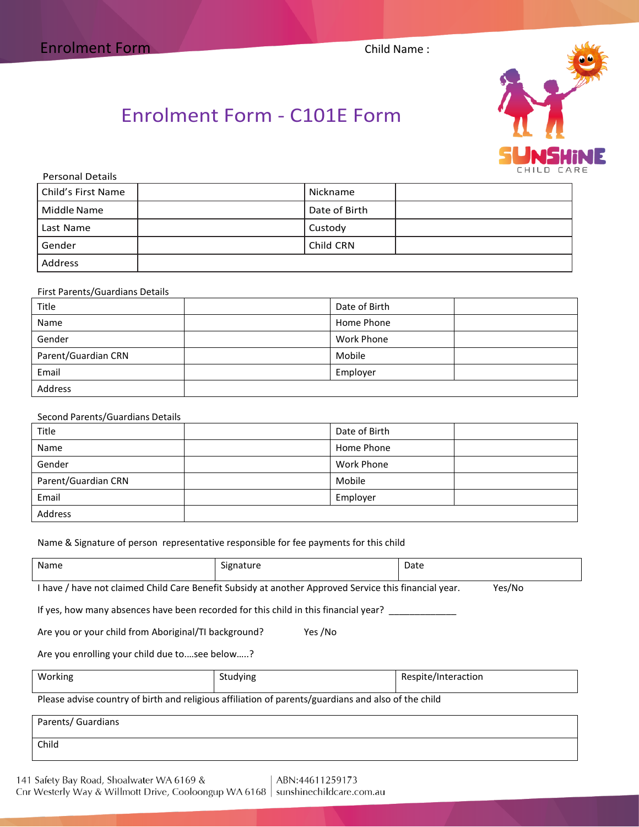

# Enrolment Form - C101E Form

| <b>Personal Details</b> |               |  |
|-------------------------|---------------|--|
| Child's First Name      | Nickname      |  |
| Middle Name             | Date of Birth |  |
| Last Name               | Custody       |  |
| Gender                  | Child CRN     |  |
| Address                 |               |  |

### First Parents/Guardians Details

| Title               | Date of Birth |  |
|---------------------|---------------|--|
| Name                | Home Phone    |  |
| Gender              | Work Phone    |  |
| Parent/Guardian CRN | Mobile        |  |
| Email               | Employer      |  |
| Address             |               |  |

### Second Parents/Guardians Details

| Title               | Date of Birth     |  |
|---------------------|-------------------|--|
| Name                | Home Phone        |  |
| Gender              | <b>Work Phone</b> |  |
| Parent/Guardian CRN | Mobile            |  |
| Email               | Employer          |  |
| Address             |                   |  |

#### Name & Signature of person representative responsible for fee payments for this child

| Name                                                                                                                                                                                                                           | Signature | Date |  |  |
|--------------------------------------------------------------------------------------------------------------------------------------------------------------------------------------------------------------------------------|-----------|------|--|--|
| I have / have not claimed Child Care Benefit Subsidy at another Approved Service this financial year.<br>Yes/No                                                                                                                |           |      |  |  |
| . And the second control of the set of the second control of the set of the second control of the second control of the second control of the second control of the second control of the second control of the second control |           |      |  |  |

If yes, how many absences have been recorded for this child in this financial year? \_\_

|  | Are you or your child from Aboriginal/TI background? | Yes /No |
|--|------------------------------------------------------|---------|
|--|------------------------------------------------------|---------|

Are you enrolling your child due to.…see below…..?

| Working | ∵dving<br>c | 'nteraction'<br>\!!!!t<br>INC. |
|---------|-------------|--------------------------------|
|         |             |                                |

Please advise country of birth and religious affiliation of parents/guardians and also of the child

| Parents/ Guardians |  |  |
|--------------------|--|--|
| Child              |  |  |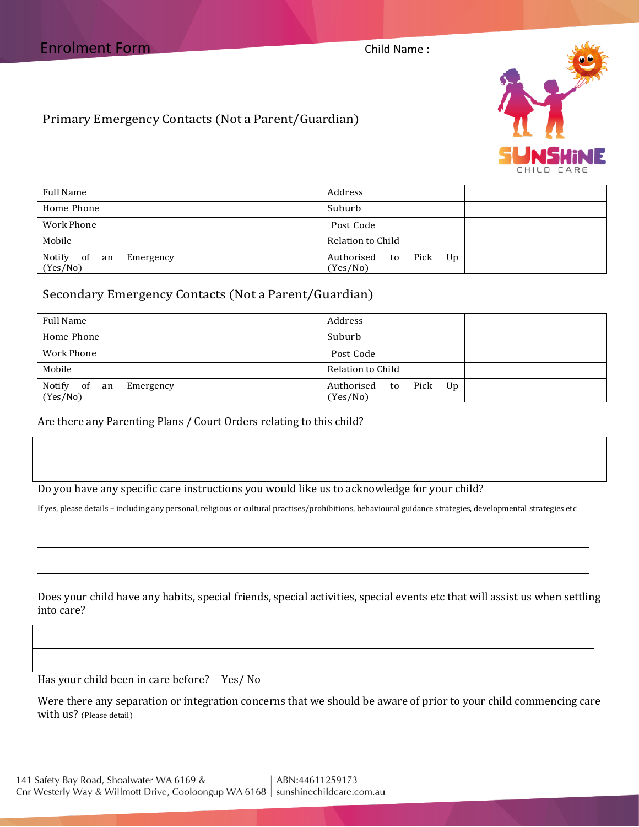

Primary Emergency Contacts (Not a Parent/Guardian)

| Full Name                                   | Address                              |
|---------------------------------------------|--------------------------------------|
| Home Phone                                  | Suburb                               |
| Work Phone                                  | Post Code                            |
| Mobile                                      | Relation to Child                    |
| Notify<br>of<br>Emergency<br>an<br>(Yes/No) | Authorised<br>to Pick Up<br>(Yes/No) |

# Secondary Emergency Contacts (Not a Parent/Guardian)

| Full Name                                   | Address                              |
|---------------------------------------------|--------------------------------------|
| Home Phone                                  | Suburb                               |
| Work Phone                                  | Post Code                            |
| Mobile                                      | Relation to Child                    |
| Notify<br>of<br>Emergency<br>an<br>(Yes/No) | Authorised to<br>Pick Up<br>(Yes/No) |

# Are there any Parenting Plans / Court Orders relating to this child?

Do you have any specific care instructions you would like us to acknowledge for your child?

If yes, please details – including any personal, religious or cultural practises/prohibitions, behavioural guidance strategies, developmental strategies etc

Does your child have any habits, special friends, special activities, special events etc that will assist us when settling into care?

Has your child been in care before? Yes/ No

Were there any separation or integration concerns that we should be aware of prior to your child commencing care with us? (Please detail)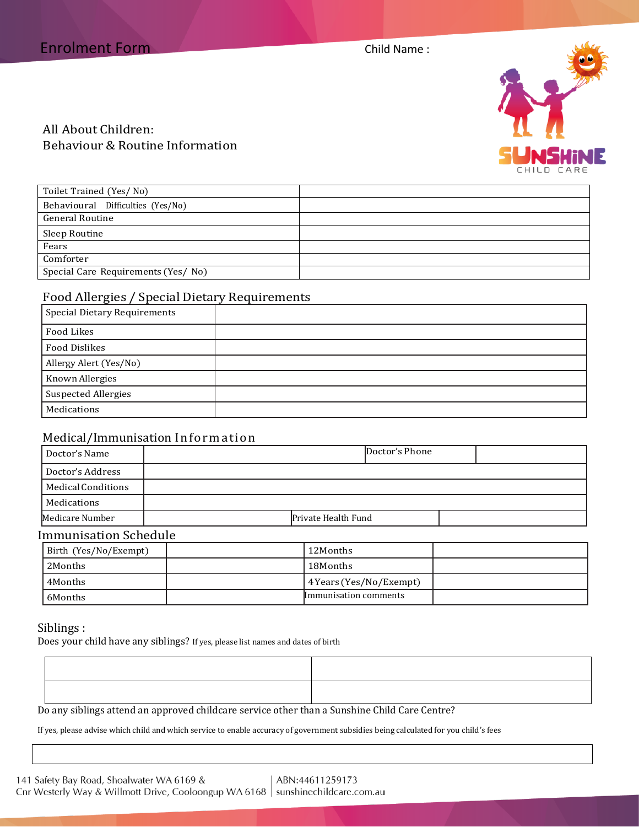

# All About Children: Behaviour & Routine Information

| Toilet Trained (Yes/No)            |  |
|------------------------------------|--|
| Behavioural Difficulties (Yes/No)  |  |
| <b>General Routine</b>             |  |
| Sleep Routine                      |  |
| Fears                              |  |
| Comforter                          |  |
| Special Care Requirements (Yes/No) |  |

# Food Allergies / Special Dietary Requirements

| <b>Special Dietary Requirements</b> |  |
|-------------------------------------|--|
| Food Likes                          |  |
| <b>Food Dislikes</b>                |  |
| Allergy Alert (Yes/No)              |  |
| Known Allergies                     |  |
| <b>Suspected Allergies</b>          |  |
| Medications                         |  |

# Medical/Immunisation Information

| Doctor's Name                | Doctor's Phone      |  |
|------------------------------|---------------------|--|
| Doctor's Address             |                     |  |
| Medical Conditions           |                     |  |
| Medications                  |                     |  |
| Medicare Number              | Private Health Fund |  |
| <b>Immunisation Schedule</b> |                     |  |

| Birth (Yes/No/Exempt) | 12Months                |  |
|-----------------------|-------------------------|--|
| 2Months               | 18Months                |  |
| 4Months               | 4 Years (Yes/No/Exempt) |  |
| 6Months               | Immunisation comments   |  |
|                       |                         |  |

# Siblings :

Does your child have any siblings? If yes, please list names and dates of birth

| רו מונחיות הנוסדות ונותן והיות היותר היותר היותר היותר היותר היותר היותר היותר היותר היותר היותר היותר היותר ה |  |
|----------------------------------------------------------------------------------------------------------------|--|

Do any siblings attend an approved childcare service other than a Sunshine Child Care Centre?

If yes, please advise which child and which service to enable accuracy of government subsidies being calculated for you child's fees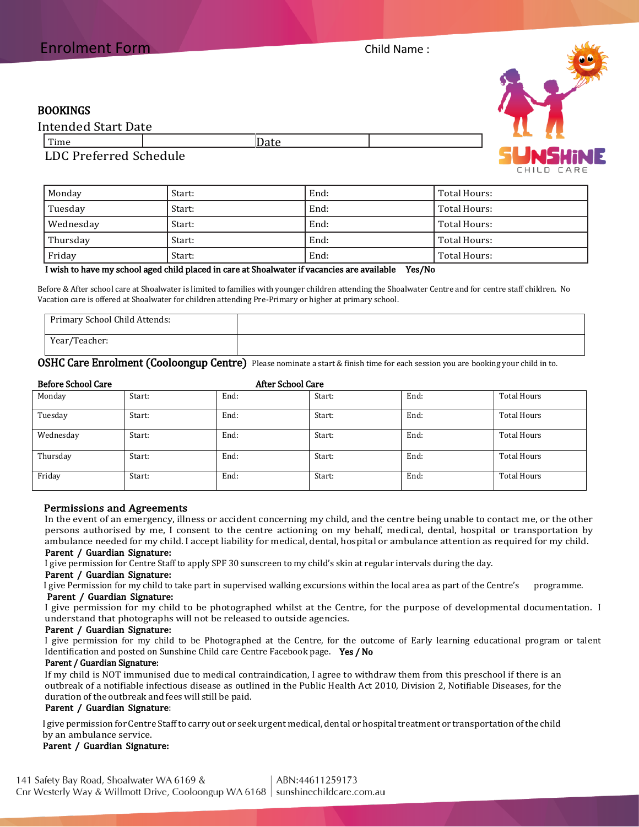# BOOKINGS

| <b>Intended Start Date</b>                                                               |       |  |
|------------------------------------------------------------------------------------------|-------|--|
| Time                                                                                     | …∪du⊏ |  |
| $\mathbf{r}$ $\mathbf{r}$ $\mathbf{r}$ $\mathbf{r}$ $\mathbf{r}$<br>$\sim$ $\sim$ $\sim$ |       |  |

# LDC Preferred Schedule

| Monday    | Start: | End: | Total Hours: |
|-----------|--------|------|--------------|
| Tuesday   | Start: | End: | Total Hours: |
| Wednesday | Start: | End: | Total Hours: |
| Thursday  | Start: | End: | Total Hours: |
| Friday    | Start: | End: | Total Hours: |

#### I wish to have my school aged child placed in care at Shoalwater if vacancies are available Yes/No

Before & After school care at Shoalwater is limited to families with younger children attending the Shoalwater Centre and for centre staff children. No Vacation care is offered at Shoalwater for children attending Pre-Primary or higher at primary school.

| Primary School Child Attends: |  |
|-------------------------------|--|
| Year/Teacher:                 |  |

OSHC Care Enrolment (Cooloongup Centre) Please nominate a start & finish time for each session you are booking your child in to.

#### Before School Care After School Care

| Monday    | Start: | End: | Start: | End: | <b>Total Hours</b> |
|-----------|--------|------|--------|------|--------------------|
| Tuesday   | Start: | End: | Start: | End: | Total Hours        |
| Wednesday | Start: | End: | Start: | End: | Total Hours        |
| Thursday  | Start: | End: | Start: | End: | Total Hours        |
| Friday    | Start: | End: | Start: | End: | <b>Total Hours</b> |

#### Permissions and Agreements

In the event of an emergency, illness or accident concerning my child, and the centre being unable to contact me, or the other persons authorised by me, I consent to the centre actioning on my behalf, medical, dental, hospital or transportation by ambulance needed for my child. I accept liability for medical, dental, hospital or ambulance attention as required for my child.

# Parent / Guardian Signature:

I give permission for Centre Staff to apply SPF 30 sunscreen to my child's skin at regular intervals during the day.

# Parent / Guardian Signature:

 I give Permission for my child to take part in supervised walking excursions within the local area as part of the Centre's programme. Parent / Guardian Signature:

I give permission for my child to be photographed whilst at the Centre, for the purpose of developmental documentation. I understand that photographs will not be released to outside agencies.

### Parent / Guardian Signature:

I give permission for my child to be Photographed at the Centre, for the outcome of Early learning educational program or talent Identification and posted on Sunshine Child care Centre Facebook page. Yes / No

#### Parent / Guardian Signature:

If my child is NOT immunised due to medical contraindication, I agree to withdraw them from this preschool if there is an outbreak of a notifiable infectious disease as outlined in the Public Health Act 2010, Division 2, Notifiable Diseases, for the duration of the outbreak and fees will still be paid.

#### Parent / Guardian Signature:

I give permission for Centre Staff to carry out or seek urgent medical, dental or hospital treatment or transportation of the child by an ambulance service.

### Parent / Guardian Signature:

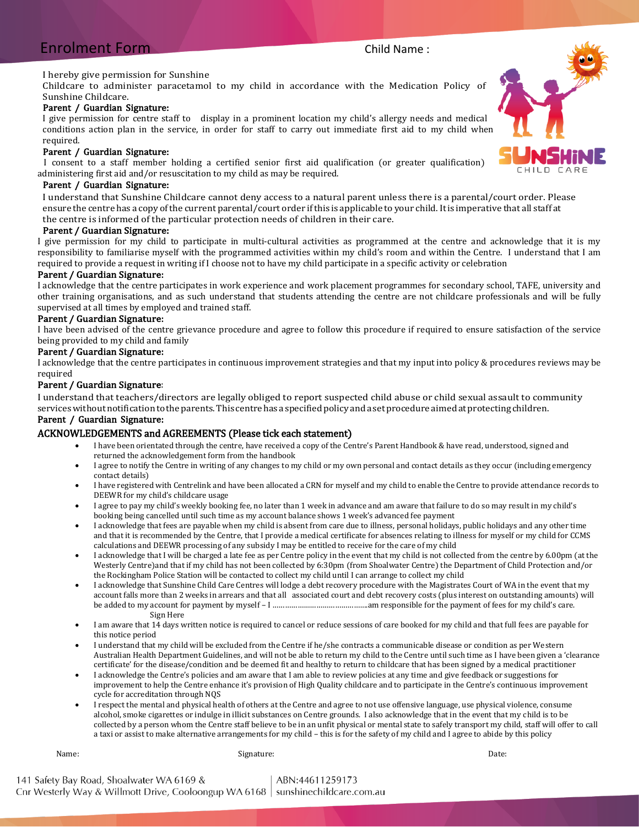# Enrolment Form Child Name :

#### I hereby give permission for Sunshine

Childcare to administer paracetamol to my child in accordance with the Medication Policy of Sunshine Childcare.

#### Parent / Guardian Signature:

I give permission for centre staff to display in a prominent location my child's allergy needs and medical conditions action plan in the service, in order for staff to carry out immediate first aid to my child when required.

#### Parent / Guardian Signature:

 I consent to a staff member holding a certified senior first aid qualification (or greater qualification) administering first aid and/or resuscitation to my child as may be required.

### Parent / Guardian Signature:

I understand that Sunshine Childcare cannot deny access to a natural parent unless there is a parental/court order. Please ensure the centre has a copy ofthe current parental/court order ifthis is applicable to your child.Itis imperative that all staff at the centre is informed of the particular protection needs of children in their care.

#### Parent / Guardian Signature:

I give permission for my child to participate in multi-cultural activities as programmed at the centre and acknowledge that it is my responsibility to familiarise myself with the programmed activities within my child's room and within the Centre. I understand that I am required to provide a request in writing if I choose not to have my child participate in a specific activity or celebration

### Parent / Guardian Signature:

I acknowledge that the centre participates in work experience and work placement programmes for secondary school, TAFE, university and other training organisations, and as such understand that students attending the centre are not childcare professionals and will be fully supervised at all times by employed and trained staff.

#### Parent / Guardian Signature:

I have been advised of the centre grievance procedure and agree to follow this procedure if required to ensure satisfaction of the service being provided to my child and family

### Parent / Guardian Signature:

I acknowledge that the centre participates in continuous improvement strategies and that my input into policy & procedures reviews may be required

#### Parent / Guardian Signature:

I understand that teachers/directors are legally obliged to report suspected child abuse or child sexual assault to community services without notification to the parents. This centre has a specified policy and a set procedure aimed at protecting children.

#### Parent / Guardian Signature:

#### ACKNOWLEDGEMENTS and AGREEMENTS (Please tick each statement)

- I have been orientated through the centre, have received a copy of the Centre's Parent Handbook & have read, understood, signed and returned the acknowledgement form from the handbook
- I agree to notify the Centre in writing of any changes to my child or my own personal and contact details as they occur (including emergency contact details)
- I have registered with Centrelink and have been allocated a CRN for myself and my child to enable the Centre to provide attendance records to DEEWR for my child's childcare usage
- I agree to pay my child's weekly booking fee, no later than 1 week in advance and am aware that failure to do so may result in my child's booking being cancelled until such time as my account balance shows 1 week's advanced fee payment
- I acknowledge that fees are payable when my child is absent from care due to illness, personal holidays, public holidays and any other time and that it is recommended by the Centre, that I provide a medical certificate for absences relating to illness for myself or my child for CCMS calculations and DEEWR processing of any subsidy I may be entitled to receive for the care of my child
- I acknowledge that I will be charged a late fee as per Centre policy in the event that my child is not collected from the centre by 6.00pm (at the Westerly Centre)and that if my child has not been collected by 6:30pm (from Shoalwater Centre) the Department of Child Protection and/or the Rockingham Police Station will be contacted to collect my child until I can arrange to collect my child
- I acknowledge that Sunshine Child Care Centres will lodge a debt recovery procedure with the Magistrates Court of WA in the event that my account falls more than 2 weeks in arrears and that all associated court and debt recovery costs (plus interest on outstanding amounts) will be added to my account for payment by myself – I ……………………………………….am responsible for the payment of fees for my child's care. Sign Here
- I am aware that 14 days written notice is required to cancel or reduce sessions of care booked for my child and that full fees are payable for this notice period
- I understand that my child will be excluded from the Centre if he/she contracts a communicable disease or condition as per Western Australian Health Department Guidelines, and will not be able to return my child to the Centre until such time as I have been given a 'clearance certificate' for the disease/condition and be deemed fit and healthy to return to childcare that has been signed by a medical practitioner
- I acknowledge the Centre's policies and am aware that I am able to review policies at any time and give feedback or suggestions for improvement to help the Centre enhance it's provision of High Quality childcare and to participate in the Centre's continuous improvement cycle for accreditation through NQS
- I respect the mental and physical health of others at the Centre and agree to not use offensive language, use physical violence, consume alcohol, smoke cigarettes or indulge in illicit substances on Centre grounds. I also acknowledge that in the event that my child is to be collected by a person whom the Centre staff believe to be in an unfit physical or mental state to safely transport my child, staff will offer to call a taxi or assist to make alternative arrangements for my child – this is for the safety of my child and I agree to abide by this policy

#### Name: Signature: Date:



141 Safety Bay Road, Shoalwater WA 6169 & ABN:44611259173 Cnr Westerly Way & Willmott Drive, Cooloongup WA 6168 | sunshinechildcare.com.au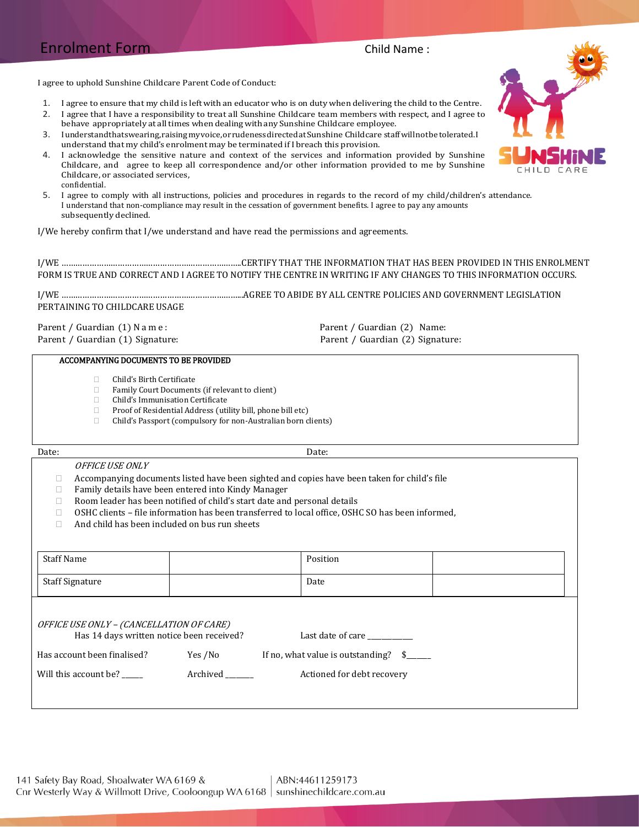# Enrolment Form Child Name :

I agree to uphold Sunshine Childcare Parent Code of Conduct:

1. I agree to ensure that my child is left with an educator who is on duty when delivering the child to the Centre.

2. I agree that I have a responsibility to treat all Sunshine Childcare team members with respect, and I agree to behave appropriately at all times when dealing with any Sunshine Childcare employee.

- 3. Iunderstandthatswearing,raisingmyvoice,orrudenessdirectedatSunshine Childcare staffwillnotbetolerated.I understand that my child's enrolment may be terminated if I breach this provision.
- 4. I acknowledge the sensitive nature and context of the services and information provided by Sunshine Childcare, and agree to keep all correspondence and/or other information provided to me by Sunshine Childcare, or associated services, confidential.
- 5. I agree to comply with all instructions, policies and procedures in regards to the record of my child/children's attendance. I understand that non-compliance may result in the cessation of government benefits. I agree to pay any amounts subsequently declined.

I/We hereby confirm that I/we understand and have read the permissions and agreements.

I/WE …………………………………………………………………..CERTIFY THAT THE INFORMATION THAT HAS BEEN PROVIDED IN THIS ENROLMENT FORM IS TRUE AND CORRECT AND I AGREE TO NOTIFY THE CENTRE IN WRITING IF ANY CHANGES TO THIS INFORMATION OCCURS.

I/WE …………………………………………………………………...AGREE TO ABIDE BY ALL CENTRE POLICIES AND GOVERNMENT LEGISLATION PERTAINING TO CHILDCARE USAGE

Parent / Guardian (1) N a m e : Parent / Guardian (2) Name:

Parent / Guardian (1) Signature: Parent / Guardian (2) Signature:

#### ACCOMPANYING DOCUMENTS TO BE PROVIDED

- $\Box$  Child's Birth Certificate
- Family Court Documents (if relevant to client)
- Child's Immunisation Certificate
- □ Proof of Residential Address (utility bill, phone bill etc)
- Child's Passport (compulsory for non-Australian born clients)

#### Date: Date:

#### OFFICE USE ONLY

- $\Box$  Accompanying documents listed have been sighted and copies have been taken for child's file
- $\Box$  Family details have been entered into Kindy Manager
- □ Room leader has been notified of child's start date and personal details
- $\Box$  OSHC clients file information has been transferred to local office, OSHC SO has been informed,
- $\Box$  And child has been included on bus run sheets

| <b>Staff Name</b>                                                                     |          | Position                                 |  |
|---------------------------------------------------------------------------------------|----------|------------------------------------------|--|
| <b>Staff Signature</b>                                                                |          | Date                                     |  |
| OFFICE USE ONLY - (CANCELLATION OF CARE)<br>Has 14 days written notice been received? |          | Last date of care                        |  |
| Has account been finalised?                                                           | Yes /No  | If no, what value is outstanding?<br>-SI |  |
| Will this account be?                                                                 | Archived | Actioned for debt recovery               |  |
|                                                                                       |          |                                          |  |